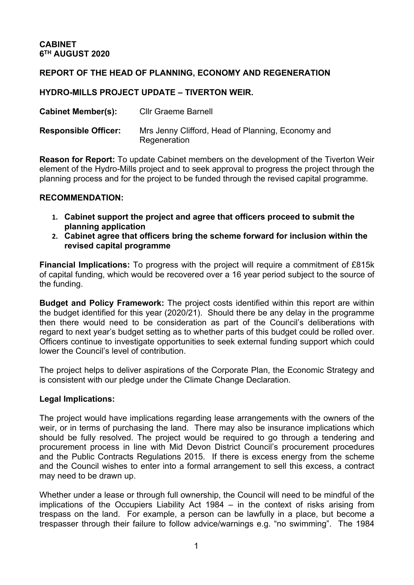# **REPORT OF THE HEAD OF PLANNING, ECONOMY AND REGENERATION**

# **HYDRO-MILLS PROJECT UPDATE – TIVERTON WEIR.**

| <b>Cabinet Member(s):</b>   | <b>Cllr Graeme Barnell</b>                                        |
|-----------------------------|-------------------------------------------------------------------|
| <b>Responsible Officer:</b> | Mrs Jenny Clifford, Head of Planning, Economy and<br>Regeneration |

**Reason for Report:** To update Cabinet members on the development of the Tiverton Weir element of the Hydro-Mills project and to seek approval to progress the project through the planning process and for the project to be funded through the revised capital programme.

# **RECOMMENDATION:**

- **1. Cabinet support the project and agree that officers proceed to submit the planning application**
- **2. Cabinet agree that officers bring the scheme forward for inclusion within the revised capital programme**

**Financial Implications:** To progress with the project will require a commitment of £815k of capital funding, which would be recovered over a 16 year period subject to the source of the funding.

**Budget and Policy Framework:** The project costs identified within this report are within the budget identified for this year (2020/21). Should there be any delay in the programme then there would need to be consideration as part of the Council's deliberations with regard to next year's budget setting as to whether parts of this budget could be rolled over. Officers continue to investigate opportunities to seek external funding support which could lower the Council's level of contribution.

The project helps to deliver aspirations of the Corporate Plan, the Economic Strategy and is consistent with our pledge under the Climate Change Declaration.

# **Legal Implications:**

The project would have implications regarding lease arrangements with the owners of the weir, or in terms of purchasing the land. There may also be insurance implications which should be fully resolved. The project would be required to go through a tendering and procurement process in line with Mid Devon District Council's procurement procedures and the Public Contracts Regulations 2015. If there is excess energy from the scheme and the Council wishes to enter into a formal arrangement to sell this excess, a contract may need to be drawn up.

Whether under a lease or through full ownership, the Council will need to be mindful of the implications of the Occupiers Liability Act 1984 – in the context of risks arising from trespass on the land. For example, a person can be lawfully in a place, but become a trespasser through their failure to follow advice/warnings e.g. "no swimming". The 1984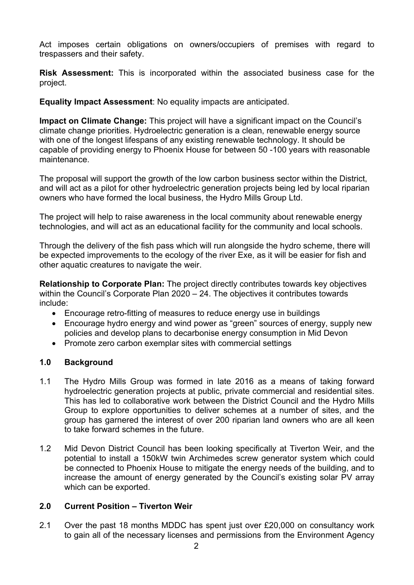Act imposes certain obligations on owners/occupiers of premises with regard to trespassers and their safety.

**Risk Assessment:** This is incorporated within the associated business case for the project.

**Equality Impact Assessment**: No equality impacts are anticipated.

**Impact on Climate Change:** This project will have a significant impact on the Council's climate change priorities. Hydroelectric generation is a clean, renewable energy source with one of the longest lifespans of any existing renewable technology. It should be capable of providing energy to Phoenix House for between 50 -100 years with reasonable maintenance.

The proposal will support the growth of the low carbon business sector within the District, and will act as a pilot for other hydroelectric generation projects being led by local riparian owners who have formed the local business, the Hydro Mills Group Ltd.

The project will help to raise awareness in the local community about renewable energy technologies, and will act as an educational facility for the community and local schools.

Through the delivery of the fish pass which will run alongside the hydro scheme, there will be expected improvements to the ecology of the river Exe, as it will be easier for fish and other aquatic creatures to navigate the weir.

**Relationship to Corporate Plan:** The project directly contributes towards key objectives within the Council's Corporate Plan 2020 – 24. The objectives it contributes towards include:

- Encourage retro-fitting of measures to reduce energy use in buildings
- Encourage hydro energy and wind power as "green" sources of energy, supply new policies and develop plans to decarbonise energy consumption in Mid Devon
- Promote zero carbon exemplar sites with commercial settings

# **1.0 Background**

- 1.1 The Hydro Mills Group was formed in late 2016 as a means of taking forward hydroelectric generation projects at public, private commercial and residential sites. This has led to collaborative work between the District Council and the Hydro Mills Group to explore opportunities to deliver schemes at a number of sites, and the group has garnered the interest of over 200 riparian land owners who are all keen to take forward schemes in the future.
- 1.2 Mid Devon District Council has been looking specifically at Tiverton Weir, and the potential to install a 150kW twin Archimedes screw generator system which could be connected to Phoenix House to mitigate the energy needs of the building, and to increase the amount of energy generated by the Council's existing solar PV array which can be exported.

# **2.0 Current Position – Tiverton Weir**

2.1 Over the past 18 months MDDC has spent just over £20,000 on consultancy work to gain all of the necessary licenses and permissions from the Environment Agency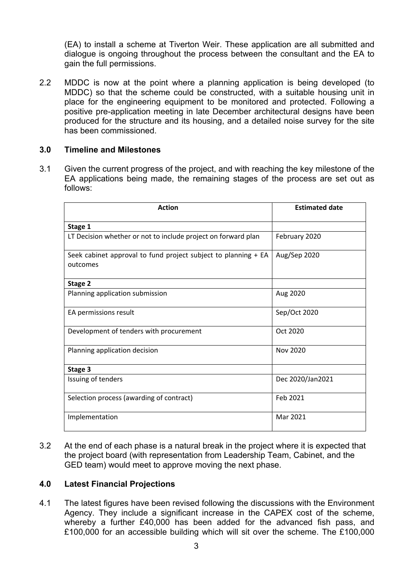(EA) to install a scheme at Tiverton Weir. These application are all submitted and dialogue is ongoing throughout the process between the consultant and the EA to gain the full permissions.

2.2 MDDC is now at the point where a planning application is being developed (to MDDC) so that the scheme could be constructed, with a suitable housing unit in place for the engineering equipment to be monitored and protected. Following a positive pre-application meeting in late December architectural designs have been produced for the structure and its housing, and a detailed noise survey for the site has been commissioned.

#### **3.0 Timeline and Milestones**

3.1 Given the current progress of the project, and with reaching the key milestone of the EA applications being made, the remaining stages of the process are set out as follows:

| <b>Action</b>                                                              | <b>Estimated date</b> |
|----------------------------------------------------------------------------|-----------------------|
| Stage 1                                                                    |                       |
| LT Decision whether or not to include project on forward plan              | February 2020         |
| Seek cabinet approval to fund project subject to planning + EA<br>outcomes | Aug/Sep 2020          |
| Stage 2                                                                    |                       |
| Planning application submission                                            | Aug 2020              |
| EA permissions result                                                      | Sep/Oct 2020          |
| Development of tenders with procurement                                    | Oct 2020              |
| Planning application decision                                              | Nov 2020              |
| Stage 3                                                                    |                       |
| Issuing of tenders                                                         | Dec 2020/Jan2021      |
| Selection process (awarding of contract)                                   | Feb 2021              |
| Implementation                                                             | Mar 2021              |

3.2 At the end of each phase is a natural break in the project where it is expected that the project board (with representation from Leadership Team, Cabinet, and the GED team) would meet to approve moving the next phase.

# **4.0 Latest Financial Projections**

4.1 The latest figures have been revised following the discussions with the Environment Agency. They include a significant increase in the CAPEX cost of the scheme, whereby a further £40,000 has been added for the advanced fish pass, and £100,000 for an accessible building which will sit over the scheme. The £100,000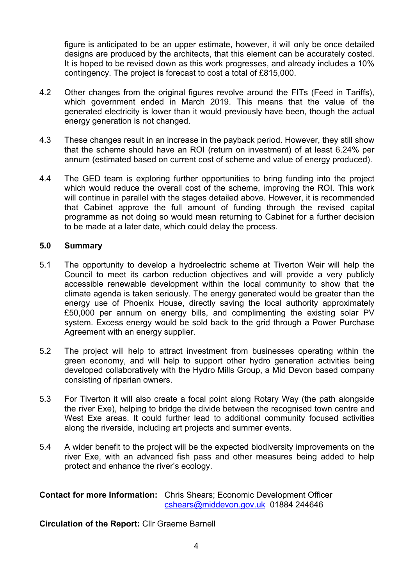figure is anticipated to be an upper estimate, however, it will only be once detailed designs are produced by the architects, that this element can be accurately costed. It is hoped to be revised down as this work progresses, and already includes a 10% contingency. The project is forecast to cost a total of £815,000.

- 4.2 Other changes from the original figures revolve around the FITs (Feed in Tariffs), which government ended in March 2019. This means that the value of the generated electricity is lower than it would previously have been, though the actual energy generation is not changed.
- 4.3 These changes result in an increase in the payback period. However, they still show that the scheme should have an ROI (return on investment) of at least 6.24% per annum (estimated based on current cost of scheme and value of energy produced).
- 4.4 The GED team is exploring further opportunities to bring funding into the project which would reduce the overall cost of the scheme, improving the ROI. This work will continue in parallel with the stages detailed above. However, it is recommended that Cabinet approve the full amount of funding through the revised capital programme as not doing so would mean returning to Cabinet for a further decision to be made at a later date, which could delay the process.

# **5.0 Summary**

- 5.1 The opportunity to develop a hydroelectric scheme at Tiverton Weir will help the Council to meet its carbon reduction objectives and will provide a very publicly accessible renewable development within the local community to show that the climate agenda is taken seriously. The energy generated would be greater than the energy use of Phoenix House, directly saving the local authority approximately £50,000 per annum on energy bills, and complimenting the existing solar PV system. Excess energy would be sold back to the grid through a Power Purchase Agreement with an energy supplier.
- 5.2 The project will help to attract investment from businesses operating within the green economy, and will help to support other hydro generation activities being developed collaboratively with the Hydro Mills Group, a Mid Devon based company consisting of riparian owners.
- 5.3 For Tiverton it will also create a focal point along Rotary Way (the path alongside the river Exe), helping to bridge the divide between the recognised town centre and West Exe areas. It could further lead to additional community focused activities along the riverside, including art projects and summer events.
- 5.4 A wider benefit to the project will be the expected biodiversity improvements on the river Exe, with an advanced fish pass and other measures being added to help protect and enhance the river's ecology.

**Contact for more Information:** Chris Shears; Economic Development Officer [cshears@middevon.gov.uk](mailto:cshears@middevon.gov.uk) 01884 244646

# **Circulation of the Report:** Cllr Graeme Barnell